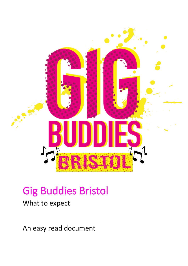

## Gig Buddies Bristol

## What to expect

An easy read document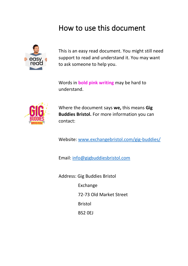## How to use this document



This is an easy read document. You might still need support to read and understand it. You may want to ask someone to help you.

Words in **bold pink writing** may be hard to understand.



Where the document says **we,** this means **Gig Buddies Bristol.** For more information you can contact:

Website: [www.exchangebristol.com/gig-buddies/](http://www.exchangebristol.com/gig-buddies/)

Email: [info@gigbuddiesbristol.com](mailto:info@gigbuddiesbristol.com)

Address: Gig Buddies Bristol

Exchange

72-73 Old Market Street

Bristol

BS2 0EJ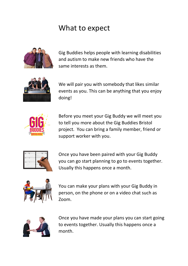## What to expect



Gig Buddies helps people with learning disabilities and autism to make new friends who have the same interests as them.



We will pair you with somebody that likes similar events as you. This can be anything that you enjoy doing!



Before you meet your Gig Buddy we will meet you to tell you more about the Gig Buddies Bristol project. You can bring a family member, friend or support worker with you.



Once you have been paired with your Gig Buddy you can go start planning to go to events together. Usually this happens once a month.



You can make your plans with your Gig Buddy in person, on the phone or on a video chat such as Zoom.



Once you have made your plans you can start going to events together. Usually this happens once a month.